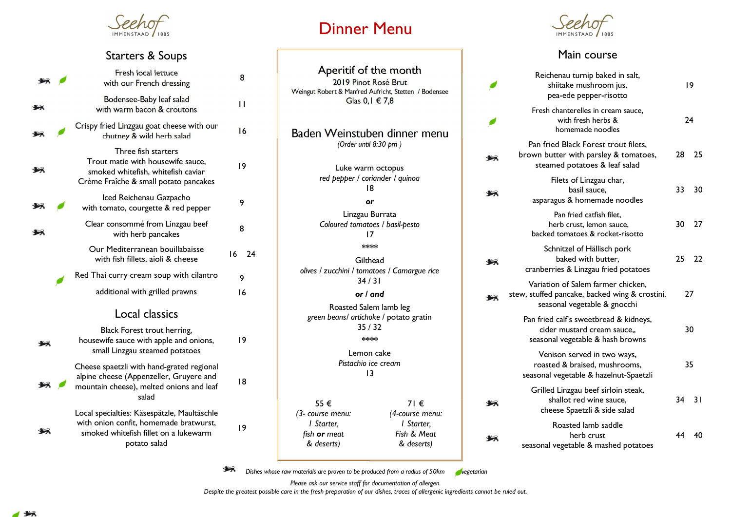

## Starters & Soups

|  |  | <b>Fresh local lettuce</b><br>with our French dressing                                                                                         | 8        |  |
|--|--|------------------------------------------------------------------------------------------------------------------------------------------------|----------|--|
|  |  | Bodensee-Baby leaf salad<br>with warm bacon & croutons                                                                                         | П        |  |
|  |  | Crispy fried Linzgau goat cheese with our<br>chutney & wild herb salad                                                                         | 16       |  |
|  |  | Three fish starters<br>Trout matie with housewife sauce,<br>smoked whitefish, whitefish caviar<br>Crème Fraîche & small potato pancakes        | 19       |  |
|  |  | Iced Reichenau Gazpacho<br>with tomato, courgette & red pepper                                                                                 | 9        |  |
|  |  | Clear consommé from Linzgau beef<br>with herb pancakes                                                                                         | 8        |  |
|  |  | Our Mediterranean bouillabaisse<br>with fish fillets, aioli & cheese                                                                           | 16<br>24 |  |
|  |  | Red Thai curry cream soup with cilantro                                                                                                        | 9        |  |
|  |  | additional with grilled prawns                                                                                                                 | 16       |  |
|  |  | Local classics                                                                                                                                 |          |  |
|  |  | Black Forest trout herring,<br>housewife sauce with apple and onions,<br>small Linzgau steamed potatoes                                        | 19       |  |
|  |  | Cheese spaetzli with hand-grated regional<br>alpine cheese (Appenzeller, Gruyere and<br>mountain cheese), melted onions and leaf<br>salad      | 18       |  |
|  |  | Local specialties: Käsespätzle, Maultäschle<br>with onion confit, homemade bratwurst,<br>smoked whitefish fillet on a lukewarm<br>potato salad | 19       |  |
|  |  |                                                                                                                                                |          |  |

## Dinner Menu

| Aperitif of the month<br>2019 Pinot Rosé Brut<br>Weingut Robert & Manfred Aufricht, Stetten / Bodensee<br>Glas $0, 1 \in 7, 8$            |  |
|-------------------------------------------------------------------------------------------------------------------------------------------|--|
| Baden Weinstuben dinner menu<br>(Order until 8:30 pm)                                                                                     |  |
| Luke warm octopus<br>red pepper / coriander / quinoa<br>18                                                                                |  |
| or                                                                                                                                        |  |
| Linzgau Burrata<br>Coloured tomatoes / basil-pesto<br>17<br>****                                                                          |  |
| Gilthead<br>olives / zucchini / tomatoes / Camargue rice<br>34/31                                                                         |  |
| or I and                                                                                                                                  |  |
| Roasted Salem lamb leg<br>green beans/ artichoke / potato gratin<br>35/32<br>****                                                         |  |
| Lemon cake<br>Pistachio ice cream<br>13                                                                                                   |  |
| 55 €<br>71€<br>(4-course menu:<br>(3- course menu:<br>I Starter,<br>l Starter.<br>Fish & Meat<br>fish or meat<br>& deserts)<br>& deserts) |  |



## Main course

| Reichenau turnip baked in salt,<br>shiitake mushroom jus,<br>pea-ede pepper-risotto                                  | 19  |    |
|----------------------------------------------------------------------------------------------------------------------|-----|----|
| Fresh chanterelles in cream sauce,<br>with fresh herbs &<br>homemade noodles                                         | 24  |    |
| Pan fried Black Forest trout filets.<br>brown butter with parsley & tomatoes,<br>steamed potatoes & leaf salad       | 28  | 25 |
| Filets of Linzgau char,<br>basil sauce.<br>asparagus & homemade noodles                                              | 33  | 30 |
| Pan fried catfish filet.<br>herb crust, lemon sauce,<br>backed tomatoes & rocket-risotto                             | 30  | 27 |
| Schnitzel of Hällisch pork<br>baked with butter,<br>cranberries & Linzgau fried potatoes                             | 25. | 22 |
| Variation of Salem farmer chicken,<br>stew, stuffed pancake, backed wing & crostini,<br>seasonal vegetable & gnocchi | 27  |    |
| Pan fried calf's sweetbread & kidneys,<br>cider mustard cream sauce<br>seasonal vegetable & hash browns              |     | 30 |
| Venison served in two ways,<br>roasted & braised, mushrooms,<br>seasonal vegetable & hazelnut-Spaetzli               | 35  |    |
| Grilled Linzgau beef sirloin steak,<br>shallot red wine sauce,<br>cheese Spaetzli & side salad                       | 34  | 31 |
| Roasted lamb saddle<br>herb crust<br>seasonal vegetable & mashed potatoes                                            | 44  | 40 |

坛 Dishes whose raw materials are proven to be produced from a radius of  $50km$  vegetarian

Please ask our service staff for documentation of allergen.

Despite the greatest possible care in the fresh preparation of our dishes, traces of allergenic ingredients cannot be ruled out.